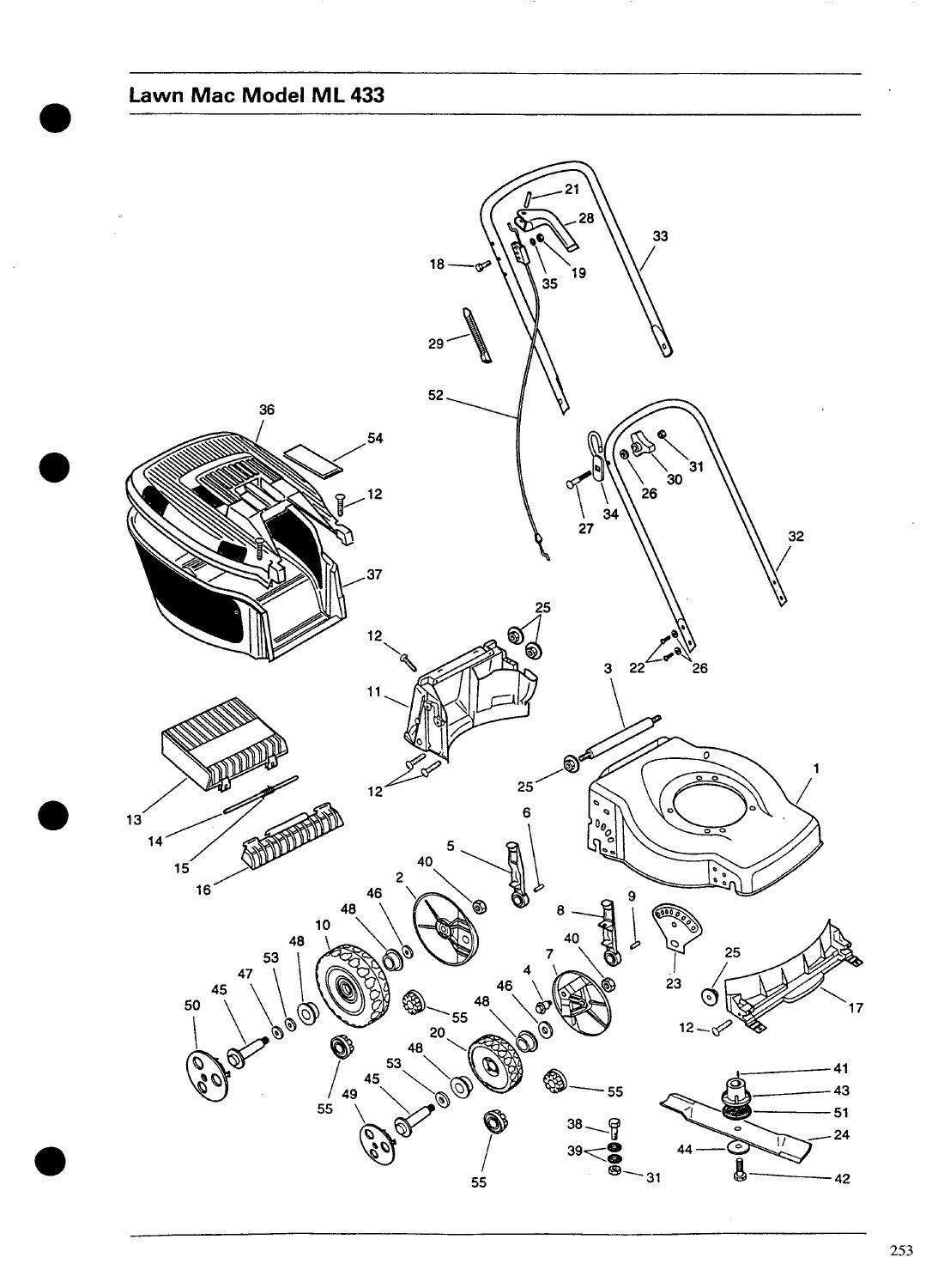## Lawn Mac Model ML 433

<span id="page-0-0"></span>